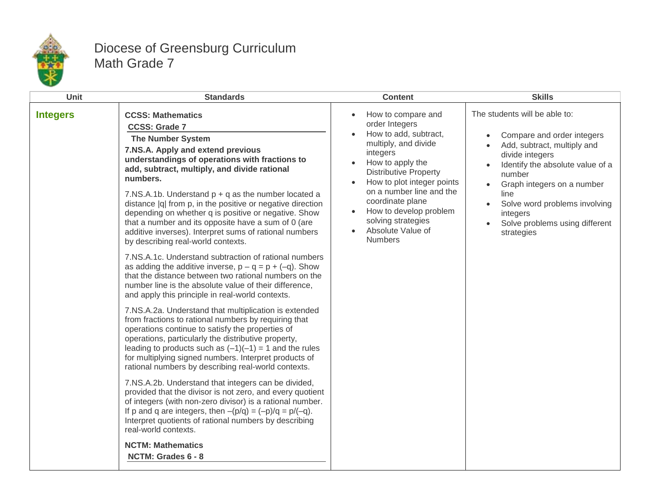

## Diocese of Greensburg Curriculum Math Grade 7

| Unit            | <b>Standards</b>                                                                                                                                                                                                                                                                                                                                                                                                                                                                                                                                                                                                                                                                                                                                                                                                                                                                                                                                                                                                                                                                                                                                                                                                                                                                                                                                                                                                                                                                                                                                                                                                                                             | <b>Content</b>                                                                                                                                                                                                                                                                                                             | <b>Skills</b>                                                                                                                                                                                                                                                                                               |
|-----------------|--------------------------------------------------------------------------------------------------------------------------------------------------------------------------------------------------------------------------------------------------------------------------------------------------------------------------------------------------------------------------------------------------------------------------------------------------------------------------------------------------------------------------------------------------------------------------------------------------------------------------------------------------------------------------------------------------------------------------------------------------------------------------------------------------------------------------------------------------------------------------------------------------------------------------------------------------------------------------------------------------------------------------------------------------------------------------------------------------------------------------------------------------------------------------------------------------------------------------------------------------------------------------------------------------------------------------------------------------------------------------------------------------------------------------------------------------------------------------------------------------------------------------------------------------------------------------------------------------------------------------------------------------------------|----------------------------------------------------------------------------------------------------------------------------------------------------------------------------------------------------------------------------------------------------------------------------------------------------------------------------|-------------------------------------------------------------------------------------------------------------------------------------------------------------------------------------------------------------------------------------------------------------------------------------------------------------|
| <b>Integers</b> | <b>CCSS: Mathematics</b><br><b>CCSS: Grade 7</b><br><b>The Number System</b><br>7.NS.A. Apply and extend previous<br>understandings of operations with fractions to<br>add, subtract, multiply, and divide rational<br>numbers.<br>7.NS.A.1b. Understand $p + q$ as the number located a<br>distance  q  from p, in the positive or negative direction<br>depending on whether q is positive or negative. Show<br>that a number and its opposite have a sum of 0 (are<br>additive inverses). Interpret sums of rational numbers<br>by describing real-world contexts.<br>7.NS.A.1c. Understand subtraction of rational numbers<br>as adding the additive inverse, $p - q = p + (-q)$ . Show<br>that the distance between two rational numbers on the<br>number line is the absolute value of their difference,<br>and apply this principle in real-world contexts.<br>7.NS.A.2a. Understand that multiplication is extended<br>from fractions to rational numbers by requiring that<br>operations continue to satisfy the properties of<br>operations, particularly the distributive property,<br>leading to products such as $(-1)(-1) = 1$ and the rules<br>for multiplying signed numbers. Interpret products of<br>rational numbers by describing real-world contexts.<br>7.NS.A.2b. Understand that integers can be divided,<br>provided that the divisor is not zero, and every quotient<br>of integers (with non-zero divisor) is a rational number.<br>If p and q are integers, then $-(p/q) = (-p)/q = p/(-q)$ .<br>Interpret quotients of rational numbers by describing<br>real-world contexts.<br><b>NCTM: Mathematics</b><br>NCTM: Grades 6 - 8 | How to compare and<br>order Integers<br>How to add, subtract,<br>multiply, and divide<br>integers<br>How to apply the<br><b>Distributive Property</b><br>How to plot integer points<br>on a number line and the<br>coordinate plane<br>How to develop problem<br>solving strategies<br>Absolute Value of<br><b>Numbers</b> | The students will be able to:<br>Compare and order integers<br>Add, subtract, multiply and<br>divide integers<br>Identify the absolute value of a<br>number<br>Graph integers on a number<br>line<br>Solve word problems involving<br>$\bullet$<br>integers<br>Solve problems using different<br>strategies |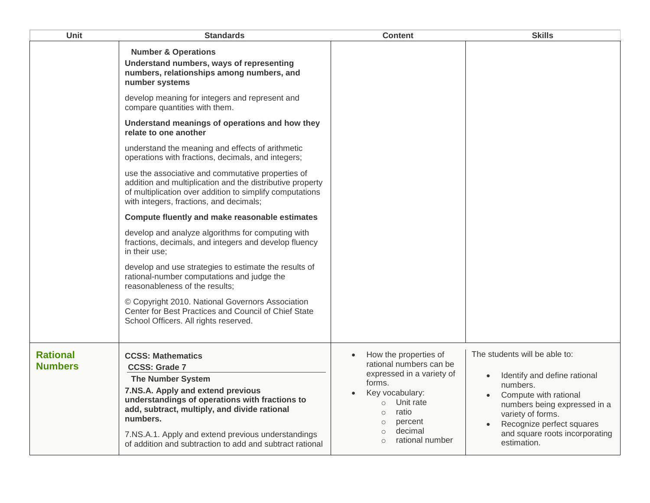| How the properties of<br>$\bullet$<br>rational numbers can be<br>expressed in a variety of<br>forms.<br>Key vocabulary:<br>Unit rate<br>$\circ$<br>ratio<br>$\circ$<br>percent<br>$\circ$<br>decimal<br>$\circ$<br>rational number<br>$\circ$ | The students will be able to:<br>Identify and define rational<br>numbers.<br>Compute with rational<br>numbers being expressed in a<br>variety of forms.<br>Recognize perfect squares<br>and square roots incorporating<br>estimation. |
|-----------------------------------------------------------------------------------------------------------------------------------------------------------------------------------------------------------------------------------------------|---------------------------------------------------------------------------------------------------------------------------------------------------------------------------------------------------------------------------------------|
|                                                                                                                                                                                                                                               | addition and multiplication and the distributive property<br>of addition and subtraction to add and subtract rational                                                                                                                 |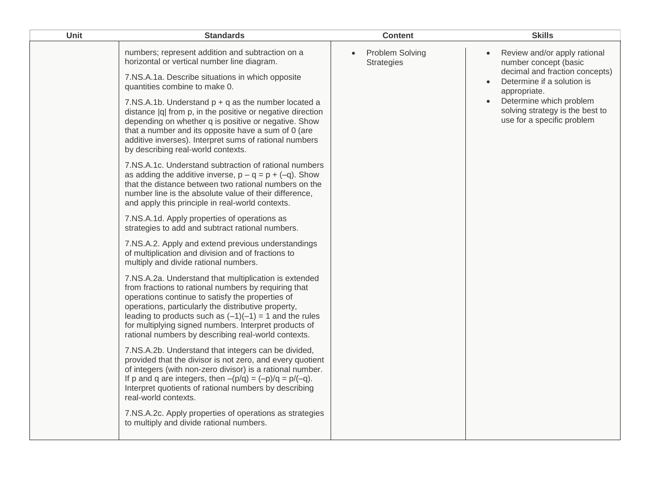| Unit | <b>Standards</b>                                                                                                                                                                                                                                                                                                                                                                                     | <b>Content</b>                              | <b>Skills</b>                                                                                                                      |
|------|------------------------------------------------------------------------------------------------------------------------------------------------------------------------------------------------------------------------------------------------------------------------------------------------------------------------------------------------------------------------------------------------------|---------------------------------------------|------------------------------------------------------------------------------------------------------------------------------------|
|      | numbers; represent addition and subtraction on a<br>horizontal or vertical number line diagram.<br>7.NS.A.1a. Describe situations in which opposite                                                                                                                                                                                                                                                  | <b>Problem Solving</b><br><b>Strategies</b> | Review and/or apply rational<br>number concept (basic<br>decimal and fraction concepts)<br>Determine if a solution is<br>$\bullet$ |
|      | quantities combine to make 0.<br>7.NS.A.1b. Understand $p + q$ as the number located a<br>distance  q  from p, in the positive or negative direction<br>depending on whether q is positive or negative. Show<br>that a number and its opposite have a sum of 0 (are<br>additive inverses). Interpret sums of rational numbers<br>by describing real-world contexts.                                  |                                             | appropriate.<br>Determine which problem<br>solving strategy is the best to<br>use for a specific problem                           |
|      | 7.NS.A.1c. Understand subtraction of rational numbers<br>as adding the additive inverse, $p - q = p + (-q)$ . Show<br>that the distance between two rational numbers on the<br>number line is the absolute value of their difference,<br>and apply this principle in real-world contexts.                                                                                                            |                                             |                                                                                                                                    |
|      | 7.NS.A.1d. Apply properties of operations as<br>strategies to add and subtract rational numbers.                                                                                                                                                                                                                                                                                                     |                                             |                                                                                                                                    |
|      | 7.NS.A.2. Apply and extend previous understandings<br>of multiplication and division and of fractions to<br>multiply and divide rational numbers.                                                                                                                                                                                                                                                    |                                             |                                                                                                                                    |
|      | 7.NS.A.2a. Understand that multiplication is extended<br>from fractions to rational numbers by requiring that<br>operations continue to satisfy the properties of<br>operations, particularly the distributive property,<br>leading to products such as $(-1)(-1) = 1$ and the rules<br>for multiplying signed numbers. Interpret products of<br>rational numbers by describing real-world contexts. |                                             |                                                                                                                                    |
|      | 7.NS.A.2b. Understand that integers can be divided,<br>provided that the divisor is not zero, and every quotient<br>of integers (with non-zero divisor) is a rational number.<br>If p and q are integers, then $-(p/q) = (-p)/q = p/(-q)$ .<br>Interpret quotients of rational numbers by describing<br>real-world contexts.                                                                         |                                             |                                                                                                                                    |
|      | 7.NS.A.2c. Apply properties of operations as strategies<br>to multiply and divide rational numbers.                                                                                                                                                                                                                                                                                                  |                                             |                                                                                                                                    |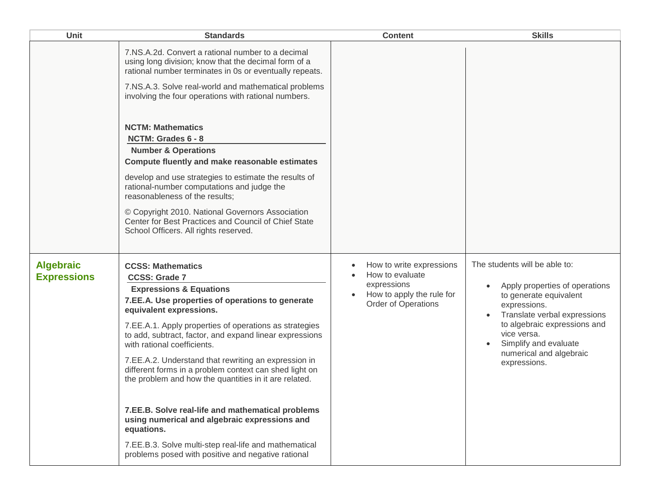| Unit                                   | <b>Standards</b>                                                                                                                                                                                                                                                                                                                                                                                                                                                                                                                                                                                                                                                                                                                        | <b>Content</b>                                                                                                 | <b>Skills</b>                                                                                                                                                                                                                                                |
|----------------------------------------|-----------------------------------------------------------------------------------------------------------------------------------------------------------------------------------------------------------------------------------------------------------------------------------------------------------------------------------------------------------------------------------------------------------------------------------------------------------------------------------------------------------------------------------------------------------------------------------------------------------------------------------------------------------------------------------------------------------------------------------------|----------------------------------------------------------------------------------------------------------------|--------------------------------------------------------------------------------------------------------------------------------------------------------------------------------------------------------------------------------------------------------------|
|                                        | 7.NS.A.2d. Convert a rational number to a decimal<br>using long division; know that the decimal form of a<br>rational number terminates in 0s or eventually repeats.<br>7.NS.A.3. Solve real-world and mathematical problems<br>involving the four operations with rational numbers.<br><b>NCTM: Mathematics</b><br>NCTM: Grades 6 - 8<br><b>Number &amp; Operations</b><br>Compute fluently and make reasonable estimates<br>develop and use strategies to estimate the results of<br>rational-number computations and judge the<br>reasonableness of the results;<br>© Copyright 2010. National Governors Association<br>Center for Best Practices and Council of Chief State<br>School Officers. All rights reserved.                |                                                                                                                |                                                                                                                                                                                                                                                              |
| <b>Algebraic</b><br><b>Expressions</b> | <b>CCSS: Mathematics</b><br><b>CCSS: Grade 7</b><br><b>Expressions &amp; Equations</b><br>7.EE.A. Use properties of operations to generate<br>equivalent expressions.<br>7.EE.A.1. Apply properties of operations as strategies<br>to add, subtract, factor, and expand linear expressions<br>with rational coefficients.<br>7.EE.A.2. Understand that rewriting an expression in<br>different forms in a problem context can shed light on<br>the problem and how the quantities in it are related.<br>7.EE.B. Solve real-life and mathematical problems<br>using numerical and algebraic expressions and<br>equations.<br>7.EE.B.3. Solve multi-step real-life and mathematical<br>problems posed with positive and negative rational | How to write expressions<br>How to evaluate<br>expressions<br>How to apply the rule for<br>Order of Operations | The students will be able to:<br>Apply properties of operations<br>to generate equivalent<br>expressions.<br>Translate verbal expressions<br>to algebraic expressions and<br>vice versa.<br>Simplify and evaluate<br>numerical and algebraic<br>expressions. |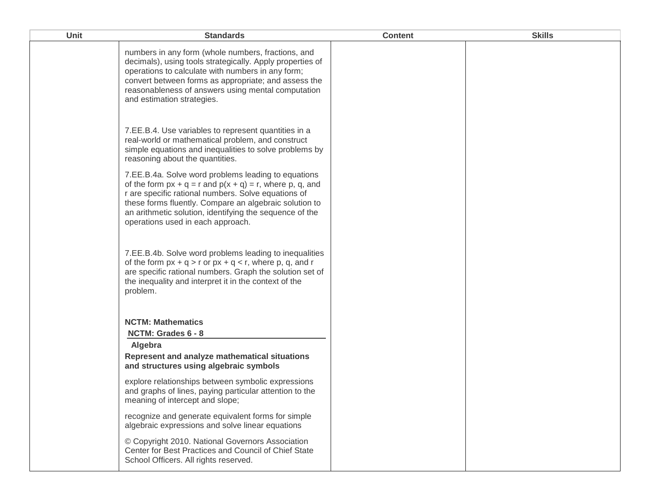| <b>Unit</b> | <b>Standards</b>                                                                                                                                                                                                                                                                                                                      | <b>Content</b> | <b>Skills</b> |
|-------------|---------------------------------------------------------------------------------------------------------------------------------------------------------------------------------------------------------------------------------------------------------------------------------------------------------------------------------------|----------------|---------------|
|             | numbers in any form (whole numbers, fractions, and<br>decimals), using tools strategically. Apply properties of<br>operations to calculate with numbers in any form;<br>convert between forms as appropriate; and assess the<br>reasonableness of answers using mental computation<br>and estimation strategies.                      |                |               |
|             | 7.EE.B.4. Use variables to represent quantities in a<br>real-world or mathematical problem, and construct<br>simple equations and inequalities to solve problems by<br>reasoning about the quantities.                                                                                                                                |                |               |
|             | 7.EE.B.4a. Solve word problems leading to equations<br>of the form $px + q = r$ and $p(x + q) = r$ , where p, q, and<br>r are specific rational numbers. Solve equations of<br>these forms fluently. Compare an algebraic solution to<br>an arithmetic solution, identifying the sequence of the<br>operations used in each approach. |                |               |
|             | 7.EE.B.4b. Solve word problems leading to inequalities<br>of the form $px + q > r$ or $px + q < r$ , where p, q, and r<br>are specific rational numbers. Graph the solution set of<br>the inequality and interpret it in the context of the<br>problem.                                                                               |                |               |
|             | <b>NCTM: Mathematics</b><br>NCTM: Grades 6 - 8<br>Algebra                                                                                                                                                                                                                                                                             |                |               |
|             | Represent and analyze mathematical situations<br>and structures using algebraic symbols                                                                                                                                                                                                                                               |                |               |
|             | explore relationships between symbolic expressions<br>and graphs of lines, paying particular attention to the<br>meaning of intercept and slope;                                                                                                                                                                                      |                |               |
|             | recognize and generate equivalent forms for simple<br>algebraic expressions and solve linear equations                                                                                                                                                                                                                                |                |               |
|             | © Copyright 2010. National Governors Association<br>Center for Best Practices and Council of Chief State<br>School Officers. All rights reserved.                                                                                                                                                                                     |                |               |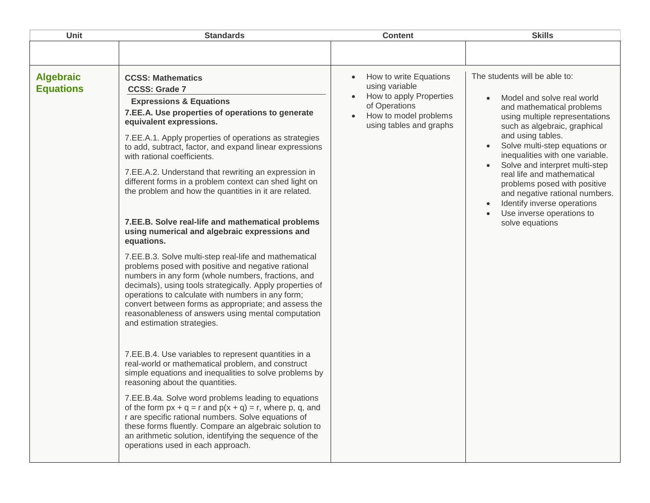| <b>Unit</b>                          | <b>Standards</b>                                                                                                                                                                                                                                                                                                                                                                                                                                                                                                                                                                                                                                                                                                                                                                                                                                                                                                                                                                                                                                                                                                                                                                                                                                                                                                                                                                                                                                                                                                                                                                                               | <b>Content</b>                                                                                                                           | <b>Skills</b>                                                                                                                                                                                                                                                                                                                                                                                                                                                        |
|--------------------------------------|----------------------------------------------------------------------------------------------------------------------------------------------------------------------------------------------------------------------------------------------------------------------------------------------------------------------------------------------------------------------------------------------------------------------------------------------------------------------------------------------------------------------------------------------------------------------------------------------------------------------------------------------------------------------------------------------------------------------------------------------------------------------------------------------------------------------------------------------------------------------------------------------------------------------------------------------------------------------------------------------------------------------------------------------------------------------------------------------------------------------------------------------------------------------------------------------------------------------------------------------------------------------------------------------------------------------------------------------------------------------------------------------------------------------------------------------------------------------------------------------------------------------------------------------------------------------------------------------------------------|------------------------------------------------------------------------------------------------------------------------------------------|----------------------------------------------------------------------------------------------------------------------------------------------------------------------------------------------------------------------------------------------------------------------------------------------------------------------------------------------------------------------------------------------------------------------------------------------------------------------|
|                                      |                                                                                                                                                                                                                                                                                                                                                                                                                                                                                                                                                                                                                                                                                                                                                                                                                                                                                                                                                                                                                                                                                                                                                                                                                                                                                                                                                                                                                                                                                                                                                                                                                |                                                                                                                                          |                                                                                                                                                                                                                                                                                                                                                                                                                                                                      |
| <b>Algebraic</b><br><b>Equations</b> | <b>CCSS: Mathematics</b><br><b>CCSS: Grade 7</b><br><b>Expressions &amp; Equations</b><br>7.EE.A. Use properties of operations to generate<br>equivalent expressions.<br>7.EE.A.1. Apply properties of operations as strategies<br>to add, subtract, factor, and expand linear expressions<br>with rational coefficients.<br>7.EE.A.2. Understand that rewriting an expression in<br>different forms in a problem context can shed light on<br>the problem and how the quantities in it are related.<br>7.EE.B. Solve real-life and mathematical problems<br>using numerical and algebraic expressions and<br>equations.<br>7.EE.B.3. Solve multi-step real-life and mathematical<br>problems posed with positive and negative rational<br>numbers in any form (whole numbers, fractions, and<br>decimals), using tools strategically. Apply properties of<br>operations to calculate with numbers in any form;<br>convert between forms as appropriate; and assess the<br>reasonableness of answers using mental computation<br>and estimation strategies.<br>7.EE.B.4. Use variables to represent quantities in a<br>real-world or mathematical problem, and construct<br>simple equations and inequalities to solve problems by<br>reasoning about the quantities.<br>7.EE.B.4a. Solve word problems leading to equations<br>of the form $px + q = r$ and $p(x + q) = r$ , where p, q, and<br>r are specific rational numbers. Solve equations of<br>these forms fluently. Compare an algebraic solution to<br>an arithmetic solution, identifying the sequence of the<br>operations used in each approach. | How to write Equations<br>using variable<br>How to apply Properties<br>of Operations<br>How to model problems<br>using tables and graphs | The students will be able to:<br>Model and solve real world<br>and mathematical problems<br>using multiple representations<br>such as algebraic, graphical<br>and using tables.<br>Solve multi-step equations or<br>inequalities with one variable.<br>Solve and interpret multi-step<br>real life and mathematical<br>problems posed with positive<br>and negative rational numbers.<br>Identify inverse operations<br>Use inverse operations to<br>solve equations |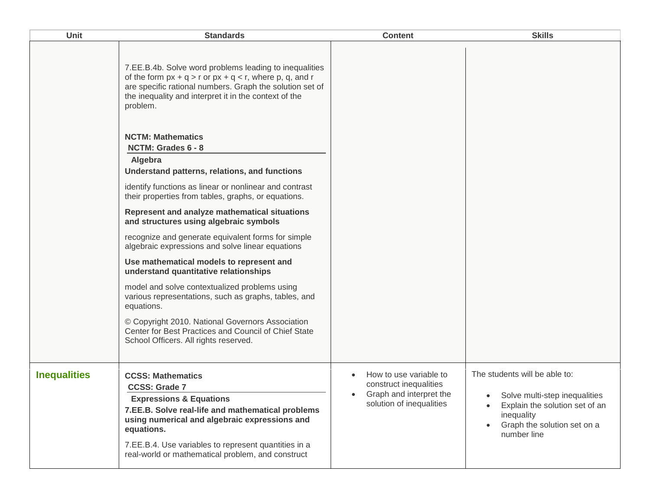| Unit                | <b>Standards</b>                                                                                                                                                                                                                                                                                                        | <b>Content</b>                                                                                          | <b>Skills</b>                                                                                                                                                |
|---------------------|-------------------------------------------------------------------------------------------------------------------------------------------------------------------------------------------------------------------------------------------------------------------------------------------------------------------------|---------------------------------------------------------------------------------------------------------|--------------------------------------------------------------------------------------------------------------------------------------------------------------|
|                     | 7.EE.B.4b. Solve word problems leading to inequalities<br>of the form $px + q > r$ or $px + q < r$ , where p, q, and r<br>are specific rational numbers. Graph the solution set of<br>the inequality and interpret it in the context of the<br>problem.                                                                 |                                                                                                         |                                                                                                                                                              |
|                     | <b>NCTM: Mathematics</b>                                                                                                                                                                                                                                                                                                |                                                                                                         |                                                                                                                                                              |
|                     | NCTM: Grades 6 - 8                                                                                                                                                                                                                                                                                                      |                                                                                                         |                                                                                                                                                              |
|                     | Algebra<br>Understand patterns, relations, and functions                                                                                                                                                                                                                                                                |                                                                                                         |                                                                                                                                                              |
|                     | identify functions as linear or nonlinear and contrast<br>their properties from tables, graphs, or equations.                                                                                                                                                                                                           |                                                                                                         |                                                                                                                                                              |
|                     | Represent and analyze mathematical situations<br>and structures using algebraic symbols                                                                                                                                                                                                                                 |                                                                                                         |                                                                                                                                                              |
|                     | recognize and generate equivalent forms for simple<br>algebraic expressions and solve linear equations                                                                                                                                                                                                                  |                                                                                                         |                                                                                                                                                              |
|                     | Use mathematical models to represent and<br>understand quantitative relationships                                                                                                                                                                                                                                       |                                                                                                         |                                                                                                                                                              |
|                     | model and solve contextualized problems using<br>various representations, such as graphs, tables, and<br>equations.                                                                                                                                                                                                     |                                                                                                         |                                                                                                                                                              |
|                     | © Copyright 2010. National Governors Association<br>Center for Best Practices and Council of Chief State<br>School Officers. All rights reserved.                                                                                                                                                                       |                                                                                                         |                                                                                                                                                              |
| <b>Inequalities</b> | <b>CCSS: Mathematics</b><br><b>CCSS: Grade 7</b><br><b>Expressions &amp; Equations</b><br>7.EE.B. Solve real-life and mathematical problems<br>using numerical and algebraic expressions and<br>equations.<br>7.EE.B.4. Use variables to represent quantities in a<br>real-world or mathematical problem, and construct | How to use variable to<br>construct inequalities<br>Graph and interpret the<br>solution of inequalities | The students will be able to:<br>Solve multi-step inequalities<br>Explain the solution set of an<br>inequality<br>Graph the solution set on a<br>number line |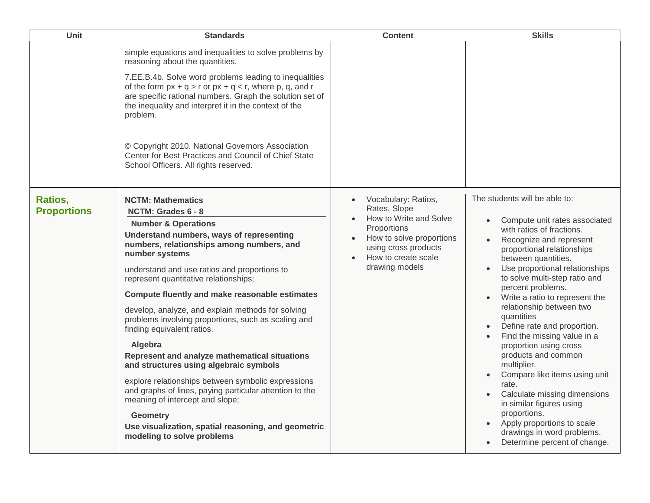| Unit                          | <b>Standards</b>                                                                                                                                                                                                                                                                                                                                                                                                                                                                                                                                                                                                                                                                                                                                                                                                                                   | <b>Content</b>                                                                                                                                                                         | <b>Skills</b>                                                                                                                                                                                                                                                                                                                                                                                                                                                                                                                                                                                                                                                                                                             |
|-------------------------------|----------------------------------------------------------------------------------------------------------------------------------------------------------------------------------------------------------------------------------------------------------------------------------------------------------------------------------------------------------------------------------------------------------------------------------------------------------------------------------------------------------------------------------------------------------------------------------------------------------------------------------------------------------------------------------------------------------------------------------------------------------------------------------------------------------------------------------------------------|----------------------------------------------------------------------------------------------------------------------------------------------------------------------------------------|---------------------------------------------------------------------------------------------------------------------------------------------------------------------------------------------------------------------------------------------------------------------------------------------------------------------------------------------------------------------------------------------------------------------------------------------------------------------------------------------------------------------------------------------------------------------------------------------------------------------------------------------------------------------------------------------------------------------------|
|                               | simple equations and inequalities to solve problems by<br>reasoning about the quantities.<br>7.EE.B.4b. Solve word problems leading to inequalities<br>of the form $px + q > r$ or $px + q < r$ , where p, q, and r<br>are specific rational numbers. Graph the solution set of<br>the inequality and interpret it in the context of the<br>problem.<br>© Copyright 2010. National Governors Association<br>Center for Best Practices and Council of Chief State<br>School Officers. All rights reserved.                                                                                                                                                                                                                                                                                                                                          |                                                                                                                                                                                        |                                                                                                                                                                                                                                                                                                                                                                                                                                                                                                                                                                                                                                                                                                                           |
| Ratios,<br><b>Proportions</b> | <b>NCTM: Mathematics</b><br>NCTM: Grades 6 - 8<br><b>Number &amp; Operations</b><br>Understand numbers, ways of representing<br>numbers, relationships among numbers, and<br>number systems<br>understand and use ratios and proportions to<br>represent quantitative relationships;<br>Compute fluently and make reasonable estimates<br>develop, analyze, and explain methods for solving<br>problems involving proportions, such as scaling and<br>finding equivalent ratios.<br>Algebra<br>Represent and analyze mathematical situations<br>and structures using algebraic symbols<br>explore relationships between symbolic expressions<br>and graphs of lines, paying particular attention to the<br>meaning of intercept and slope;<br><b>Geometry</b><br>Use visualization, spatial reasoning, and geometric<br>modeling to solve problems | Vocabulary: Ratios,<br>$\bullet$<br>Rates, Slope<br>How to Write and Solve<br>Proportions<br>How to solve proportions<br>using cross products<br>How to create scale<br>drawing models | The students will be able to:<br>Compute unit rates associated<br>$\bullet$<br>with ratios of fractions.<br>Recognize and represent<br>proportional relationships<br>between quantities.<br>Use proportional relationships<br>to solve multi-step ratio and<br>percent problems.<br>Write a ratio to represent the<br>relationship between two<br>quantities<br>Define rate and proportion.<br>Find the missing value in a<br>proportion using cross<br>products and common<br>multiplier.<br>Compare like items using unit<br>rate.<br>Calculate missing dimensions<br>in similar figures using<br>proportions.<br>Apply proportions to scale<br>$\bullet$<br>drawings in word problems.<br>Determine percent of change. |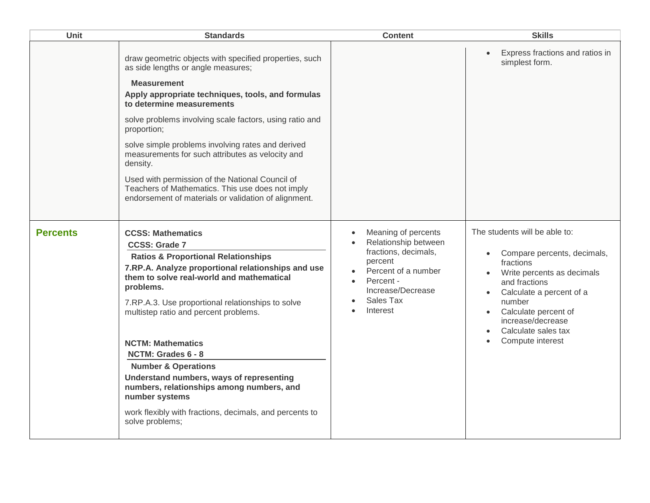| Unit            | <b>Standards</b>                                                                                                                                                                                                                                                                                                                                                                                                                                                                                                                                                                              | <b>Content</b>                                                                                                                                                                                    | <b>Skills</b>                                                                                                                                                                                                                                                       |
|-----------------|-----------------------------------------------------------------------------------------------------------------------------------------------------------------------------------------------------------------------------------------------------------------------------------------------------------------------------------------------------------------------------------------------------------------------------------------------------------------------------------------------------------------------------------------------------------------------------------------------|---------------------------------------------------------------------------------------------------------------------------------------------------------------------------------------------------|---------------------------------------------------------------------------------------------------------------------------------------------------------------------------------------------------------------------------------------------------------------------|
|                 | draw geometric objects with specified properties, such<br>as side lengths or angle measures;<br><b>Measurement</b><br>Apply appropriate techniques, tools, and formulas<br>to determine measurements<br>solve problems involving scale factors, using ratio and<br>proportion;<br>solve simple problems involving rates and derived<br>measurements for such attributes as velocity and<br>density.<br>Used with permission of the National Council of<br>Teachers of Mathematics. This use does not imply<br>endorsement of materials or validation of alignment.                            |                                                                                                                                                                                                   | Express fractions and ratios in<br>simplest form.                                                                                                                                                                                                                   |
| <b>Percents</b> | <b>CCSS: Mathematics</b><br><b>CCSS: Grade 7</b><br><b>Ratios &amp; Proportional Relationships</b><br>7.RP.A. Analyze proportional relationships and use<br>them to solve real-world and mathematical<br>problems.<br>7.RP.A.3. Use proportional relationships to solve<br>multistep ratio and percent problems.<br><b>NCTM: Mathematics</b><br>NCTM: Grades 6 - 8<br><b>Number &amp; Operations</b><br>Understand numbers, ways of representing<br>numbers, relationships among numbers, and<br>number systems<br>work flexibly with fractions, decimals, and percents to<br>solve problems; | Meaning of percents<br>$\bullet$<br>Relationship between<br>fractions, decimals,<br>percent<br>Percent of a number<br>Percent -<br>$\bullet$<br>Increase/Decrease<br><b>Sales Tax</b><br>Interest | The students will be able to:<br>Compare percents, decimals,<br>fractions<br>Write percents as decimals<br>and fractions<br>Calculate a percent of a<br>number<br>Calculate percent of<br>$\bullet$<br>increase/decrease<br>Calculate sales tax<br>Compute interest |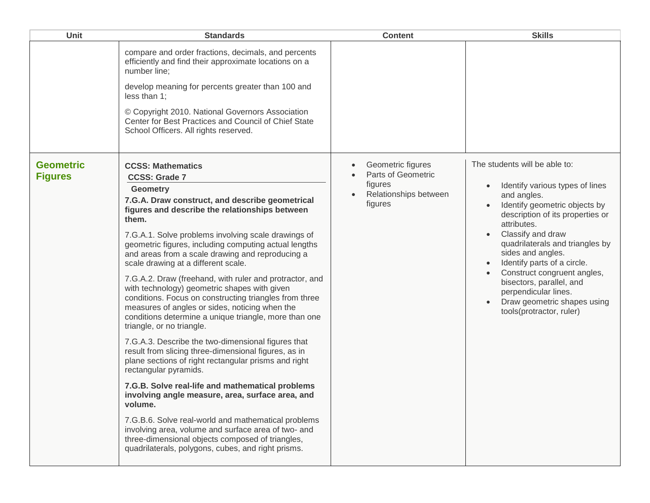| Unit                               | <b>Standards</b>                                                                                                                                                                                                                                                                                                                                                                                                                                                                                                                                                                                                                                                                                                                                                                                                                                                                                                                                                                                                                                                                                                                                                                                                                                    | <b>Content</b>                                                                         | <b>Skills</b>                                                                                                                                                                                                                                                                                                                                                                                                                 |
|------------------------------------|-----------------------------------------------------------------------------------------------------------------------------------------------------------------------------------------------------------------------------------------------------------------------------------------------------------------------------------------------------------------------------------------------------------------------------------------------------------------------------------------------------------------------------------------------------------------------------------------------------------------------------------------------------------------------------------------------------------------------------------------------------------------------------------------------------------------------------------------------------------------------------------------------------------------------------------------------------------------------------------------------------------------------------------------------------------------------------------------------------------------------------------------------------------------------------------------------------------------------------------------------------|----------------------------------------------------------------------------------------|-------------------------------------------------------------------------------------------------------------------------------------------------------------------------------------------------------------------------------------------------------------------------------------------------------------------------------------------------------------------------------------------------------------------------------|
|                                    | compare and order fractions, decimals, and percents<br>efficiently and find their approximate locations on a<br>number line;<br>develop meaning for percents greater than 100 and<br>$less than 1$ ;<br>© Copyright 2010. National Governors Association<br>Center for Best Practices and Council of Chief State<br>School Officers. All rights reserved.                                                                                                                                                                                                                                                                                                                                                                                                                                                                                                                                                                                                                                                                                                                                                                                                                                                                                           |                                                                                        |                                                                                                                                                                                                                                                                                                                                                                                                                               |
| <b>Geometric</b><br><b>Figures</b> | <b>CCSS: Mathematics</b><br><b>CCSS: Grade 7</b><br><b>Geometry</b><br>7.G.A. Draw construct, and describe geometrical<br>figures and describe the relationships between<br>them.<br>7.G.A.1. Solve problems involving scale drawings of<br>geometric figures, including computing actual lengths<br>and areas from a scale drawing and reproducing a<br>scale drawing at a different scale.<br>7.G.A.2. Draw (freehand, with ruler and protractor, and<br>with technology) geometric shapes with given<br>conditions. Focus on constructing triangles from three<br>measures of angles or sides, noticing when the<br>conditions determine a unique triangle, more than one<br>triangle, or no triangle.<br>7.G.A.3. Describe the two-dimensional figures that<br>result from slicing three-dimensional figures, as in<br>plane sections of right rectangular prisms and right<br>rectangular pyramids.<br>7.G.B. Solve real-life and mathematical problems<br>involving angle measure, area, surface area, and<br>volume.<br>7.G.B.6. Solve real-world and mathematical problems<br>involving area, volume and surface area of two- and<br>three-dimensional objects composed of triangles,<br>quadrilaterals, polygons, cubes, and right prisms. | Geometric figures<br>Parts of Geometric<br>figures<br>Relationships between<br>figures | The students will be able to:<br>Identify various types of lines<br>and angles.<br>Identify geometric objects by<br>description of its properties or<br>attributes.<br>Classify and draw<br>quadrilaterals and triangles by<br>sides and angles.<br>Identify parts of a circle.<br>Construct congruent angles,<br>bisectors, parallel, and<br>perpendicular lines.<br>Draw geometric shapes using<br>tools(protractor, ruler) |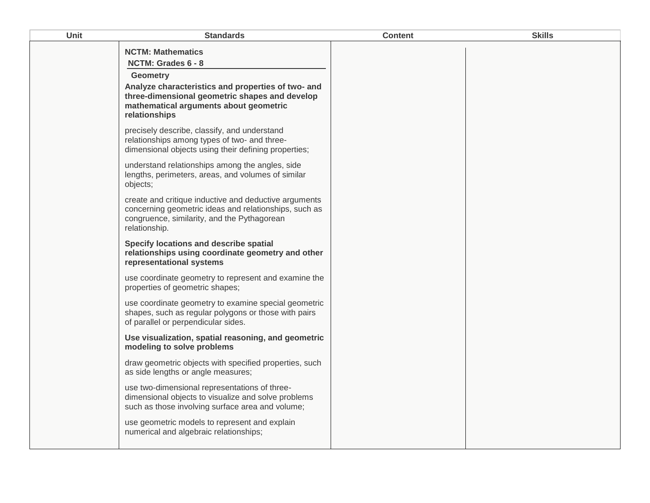| <b>Unit</b> | <b>Standards</b>                                                                                                                                                                   | <b>Content</b> | <b>Skills</b> |
|-------------|------------------------------------------------------------------------------------------------------------------------------------------------------------------------------------|----------------|---------------|
|             | <b>NCTM: Mathematics</b><br>NCTM: Grades 6 - 8                                                                                                                                     |                |               |
|             | <b>Geometry</b><br>Analyze characteristics and properties of two- and<br>three-dimensional geometric shapes and develop<br>mathematical arguments about geometric<br>relationships |                |               |
|             | precisely describe, classify, and understand<br>relationships among types of two- and three-<br>dimensional objects using their defining properties;                               |                |               |
|             | understand relationships among the angles, side<br>lengths, perimeters, areas, and volumes of similar<br>objects;                                                                  |                |               |
|             | create and critique inductive and deductive arguments<br>concerning geometric ideas and relationships, such as<br>congruence, similarity, and the Pythagorean<br>relationship.     |                |               |
|             | Specify locations and describe spatial<br>relationships using coordinate geometry and other<br>representational systems                                                            |                |               |
|             | use coordinate geometry to represent and examine the<br>properties of geometric shapes;                                                                                            |                |               |
|             | use coordinate geometry to examine special geometric<br>shapes, such as regular polygons or those with pairs<br>of parallel or perpendicular sides.                                |                |               |
|             | Use visualization, spatial reasoning, and geometric<br>modeling to solve problems                                                                                                  |                |               |
|             | draw geometric objects with specified properties, such<br>as side lengths or angle measures;                                                                                       |                |               |
|             | use two-dimensional representations of three-<br>dimensional objects to visualize and solve problems<br>such as those involving surface area and volume;                           |                |               |
|             | use geometric models to represent and explain<br>numerical and algebraic relationships;                                                                                            |                |               |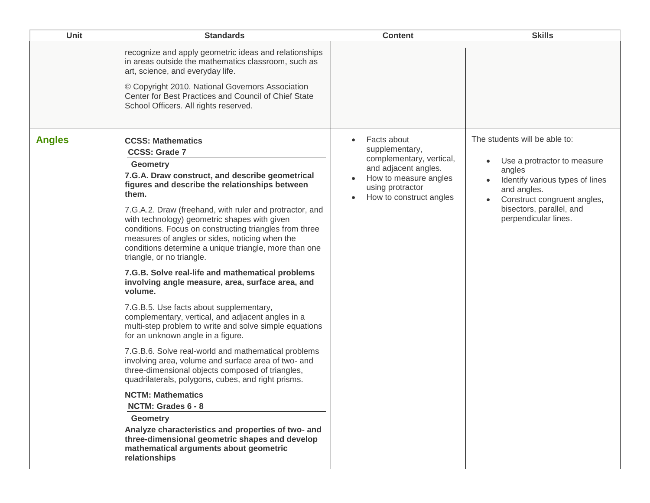| <b>Unit</b>   | <b>Standards</b>                                                                                                                                                                                                                                                                                                                                                                                                                                                                                                                                                                                                                                                                                                                                                                                                                                                                                                                                                                                                                                                                                                                                                                                                                                                                 | <b>Content</b>                                                                                                                                                         | <b>Skills</b>                                                                                                                                                                                               |
|---------------|----------------------------------------------------------------------------------------------------------------------------------------------------------------------------------------------------------------------------------------------------------------------------------------------------------------------------------------------------------------------------------------------------------------------------------------------------------------------------------------------------------------------------------------------------------------------------------------------------------------------------------------------------------------------------------------------------------------------------------------------------------------------------------------------------------------------------------------------------------------------------------------------------------------------------------------------------------------------------------------------------------------------------------------------------------------------------------------------------------------------------------------------------------------------------------------------------------------------------------------------------------------------------------|------------------------------------------------------------------------------------------------------------------------------------------------------------------------|-------------------------------------------------------------------------------------------------------------------------------------------------------------------------------------------------------------|
|               | recognize and apply geometric ideas and relationships<br>in areas outside the mathematics classroom, such as<br>art, science, and everyday life.<br>© Copyright 2010. National Governors Association<br>Center for Best Practices and Council of Chief State<br>School Officers. All rights reserved.                                                                                                                                                                                                                                                                                                                                                                                                                                                                                                                                                                                                                                                                                                                                                                                                                                                                                                                                                                            |                                                                                                                                                                        |                                                                                                                                                                                                             |
| <b>Angles</b> | <b>CCSS: Mathematics</b><br><b>CCSS: Grade 7</b><br><b>Geometry</b><br>7.G.A. Draw construct, and describe geometrical<br>figures and describe the relationships between<br>them.<br>7.G.A.2. Draw (freehand, with ruler and protractor, and<br>with technology) geometric shapes with given<br>conditions. Focus on constructing triangles from three<br>measures of angles or sides, noticing when the<br>conditions determine a unique triangle, more than one<br>triangle, or no triangle.<br>7.G.B. Solve real-life and mathematical problems<br>involving angle measure, area, surface area, and<br>volume.<br>7.G.B.5. Use facts about supplementary,<br>complementary, vertical, and adjacent angles in a<br>multi-step problem to write and solve simple equations<br>for an unknown angle in a figure.<br>7.G.B.6. Solve real-world and mathematical problems<br>involving area, volume and surface area of two- and<br>three-dimensional objects composed of triangles,<br>quadrilaterals, polygons, cubes, and right prisms.<br><b>NCTM: Mathematics</b><br>NCTM: Grades 6 - 8<br><b>Geometry</b><br>Analyze characteristics and properties of two- and<br>three-dimensional geometric shapes and develop<br>mathematical arguments about geometric<br>relationships | Facts about<br>$\bullet$<br>supplementary,<br>complementary, vertical,<br>and adjacent angles.<br>How to measure angles<br>using protractor<br>How to construct angles | The students will be able to:<br>Use a protractor to measure<br>angles<br>Identify various types of lines<br>and angles.<br>Construct congruent angles,<br>bisectors, parallel, and<br>perpendicular lines. |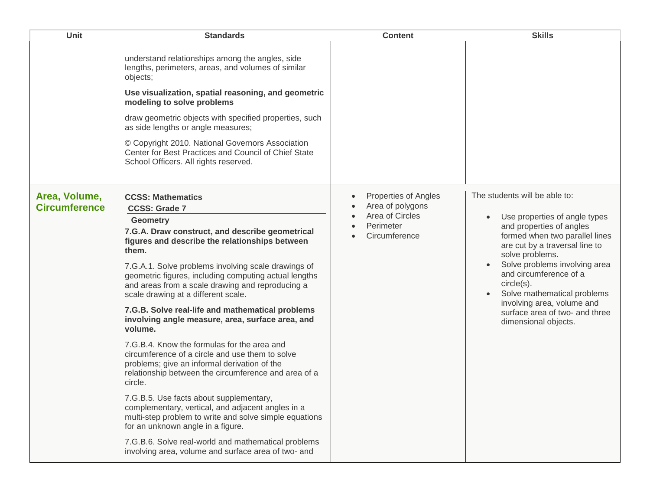| <b>Unit</b>                           | <b>Standards</b>                                                                                                                                                                                                                                                                                                                                                                                                                                                                                                                                                                                                                                                                                                                                                                                                                                                                                                                                                                                                                                  | <b>Content</b>                                                                            | <b>Skills</b>                                                                                                                                                                                                                                                                                                                                                                     |
|---------------------------------------|---------------------------------------------------------------------------------------------------------------------------------------------------------------------------------------------------------------------------------------------------------------------------------------------------------------------------------------------------------------------------------------------------------------------------------------------------------------------------------------------------------------------------------------------------------------------------------------------------------------------------------------------------------------------------------------------------------------------------------------------------------------------------------------------------------------------------------------------------------------------------------------------------------------------------------------------------------------------------------------------------------------------------------------------------|-------------------------------------------------------------------------------------------|-----------------------------------------------------------------------------------------------------------------------------------------------------------------------------------------------------------------------------------------------------------------------------------------------------------------------------------------------------------------------------------|
|                                       | understand relationships among the angles, side<br>lengths, perimeters, areas, and volumes of similar<br>objects;<br>Use visualization, spatial reasoning, and geometric<br>modeling to solve problems<br>draw geometric objects with specified properties, such<br>as side lengths or angle measures;<br>© Copyright 2010. National Governors Association<br>Center for Best Practices and Council of Chief State<br>School Officers. All rights reserved.                                                                                                                                                                                                                                                                                                                                                                                                                                                                                                                                                                                       |                                                                                           |                                                                                                                                                                                                                                                                                                                                                                                   |
| Area, Volume,<br><b>Circumference</b> | <b>CCSS: Mathematics</b><br><b>CCSS: Grade 7</b><br><b>Geometry</b><br>7.G.A. Draw construct, and describe geometrical<br>figures and describe the relationships between<br>them.<br>7.G.A.1. Solve problems involving scale drawings of<br>geometric figures, including computing actual lengths<br>and areas from a scale drawing and reproducing a<br>scale drawing at a different scale.<br>7.G.B. Solve real-life and mathematical problems<br>involving angle measure, area, surface area, and<br>volume.<br>7.G.B.4. Know the formulas for the area and<br>circumference of a circle and use them to solve<br>problems; give an informal derivation of the<br>relationship between the circumference and area of a<br>circle.<br>7.G.B.5. Use facts about supplementary,<br>complementary, vertical, and adjacent angles in a<br>multi-step problem to write and solve simple equations<br>for an unknown angle in a figure.<br>7.G.B.6. Solve real-world and mathematical problems<br>involving area, volume and surface area of two- and | Properties of Angles<br>Area of polygons<br>Area of Circles<br>Perimeter<br>Circumference | The students will be able to:<br>Use properties of angle types<br>and properties of angles<br>formed when two parallel lines<br>are cut by a traversal line to<br>solve problems.<br>Solve problems involving area<br>and circumference of a<br>circle(s).<br>Solve mathematical problems<br>involving area, volume and<br>surface area of two- and three<br>dimensional objects. |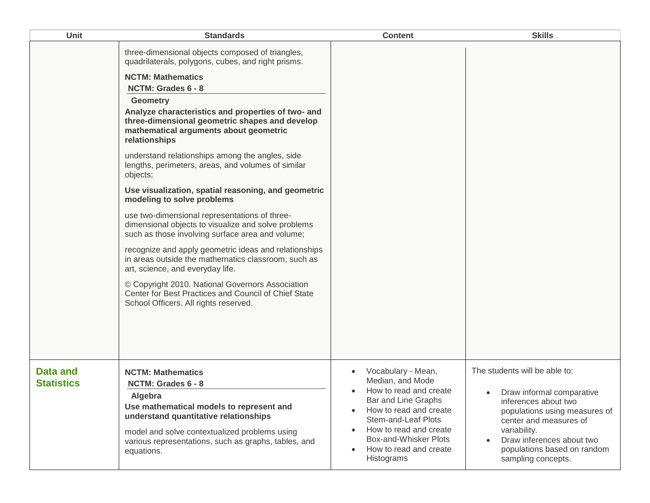| <b>Unit</b>                   | <b>Standards</b>                                                                                                                                                                                                                                                                                                                                                                                                                                                                                                                                                                                                                                                                                                                                                                                                                                                                                                                                                                                                              | <b>Content</b>                                                                                                                                                                                                                                          | <b>Skills</b>                                                                                                                                                                                                                                                             |
|-------------------------------|-------------------------------------------------------------------------------------------------------------------------------------------------------------------------------------------------------------------------------------------------------------------------------------------------------------------------------------------------------------------------------------------------------------------------------------------------------------------------------------------------------------------------------------------------------------------------------------------------------------------------------------------------------------------------------------------------------------------------------------------------------------------------------------------------------------------------------------------------------------------------------------------------------------------------------------------------------------------------------------------------------------------------------|---------------------------------------------------------------------------------------------------------------------------------------------------------------------------------------------------------------------------------------------------------|---------------------------------------------------------------------------------------------------------------------------------------------------------------------------------------------------------------------------------------------------------------------------|
|                               | three-dimensional objects composed of triangles,<br>quadrilaterals, polygons, cubes, and right prisms.<br><b>NCTM: Mathematics</b><br>NCTM: Grades 6 - 8<br><b>Geometry</b><br>Analyze characteristics and properties of two- and<br>three-dimensional geometric shapes and develop<br>mathematical arguments about geometric<br>relationships<br>understand relationships among the angles, side<br>lengths, perimeters, areas, and volumes of similar<br>objects;<br>Use visualization, spatial reasoning, and geometric<br>modeling to solve problems<br>use two-dimensional representations of three-<br>dimensional objects to visualize and solve problems<br>such as those involving surface area and volume;<br>recognize and apply geometric ideas and relationships<br>in areas outside the mathematics classroom, such as<br>art, science, and everyday life.<br>© Copyright 2010. National Governors Association<br>Center for Best Practices and Council of Chief State<br>School Officers. All rights reserved. |                                                                                                                                                                                                                                                         |                                                                                                                                                                                                                                                                           |
| Data and<br><b>Statistics</b> | <b>NCTM: Mathematics</b><br>NCTM: Grades 6 - 8<br><b>Algebra</b><br>Use mathematical models to represent and<br>understand quantitative relationships<br>model and solve contextualized problems using<br>various representations, such as graphs, tables, and<br>equations.                                                                                                                                                                                                                                                                                                                                                                                                                                                                                                                                                                                                                                                                                                                                                  | Vocabulary - Mean,<br>Median, and Mode<br>How to read and create<br>Bar and Line Graphs<br>How to read and create<br>$\bullet$<br><b>Stem-and-Leaf Plots</b><br>How to read and create<br>Box-and-Whisker Plots<br>How to read and create<br>Histograms | The students will be able to:<br>Draw informal comparative<br>$\bullet$<br>inferences about two<br>populations using measures of<br>center and measures of<br>variability.<br>Draw inferences about two<br>$\bullet$<br>populations based on random<br>sampling concepts. |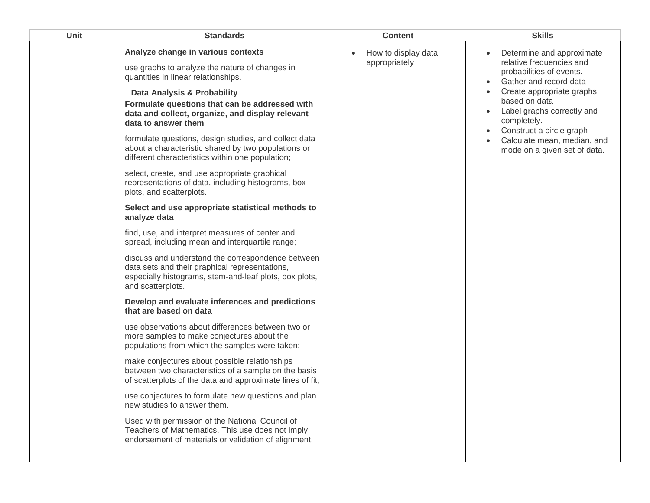| Unit | <b>Standards</b>                                                                                                                                                                   | <b>Content</b>                       | <b>Skills</b>                                                                                                                                                                      |
|------|------------------------------------------------------------------------------------------------------------------------------------------------------------------------------------|--------------------------------------|------------------------------------------------------------------------------------------------------------------------------------------------------------------------------------|
|      | Analyze change in various contexts<br>use graphs to analyze the nature of changes in<br>quantities in linear relationships.                                                        | How to display data<br>appropriately | Determine and approximate<br>relative frequencies and<br>probabilities of events.<br>Gather and record data                                                                        |
|      | Data Analysis & Probability<br>Formulate questions that can be addressed with<br>data and collect, organize, and display relevant<br>data to answer them                           |                                      | Create appropriate graphs<br>based on data<br>Label graphs correctly and<br>completely.<br>Construct a circle graph<br>Calculate mean, median, and<br>mode on a given set of data. |
|      | formulate questions, design studies, and collect data<br>about a characteristic shared by two populations or<br>different characteristics within one population;                   |                                      |                                                                                                                                                                                    |
|      | select, create, and use appropriate graphical<br>representations of data, including histograms, box<br>plots, and scatterplots.                                                    |                                      |                                                                                                                                                                                    |
|      | Select and use appropriate statistical methods to<br>analyze data                                                                                                                  |                                      |                                                                                                                                                                                    |
|      | find, use, and interpret measures of center and<br>spread, including mean and interquartile range;                                                                                 |                                      |                                                                                                                                                                                    |
|      | discuss and understand the correspondence between<br>data sets and their graphical representations,<br>especially histograms, stem-and-leaf plots, box plots,<br>and scatterplots. |                                      |                                                                                                                                                                                    |
|      | Develop and evaluate inferences and predictions<br>that are based on data                                                                                                          |                                      |                                                                                                                                                                                    |
|      | use observations about differences between two or<br>more samples to make conjectures about the<br>populations from which the samples were taken;                                  |                                      |                                                                                                                                                                                    |
|      | make conjectures about possible relationships<br>between two characteristics of a sample on the basis<br>of scatterplots of the data and approximate lines of fit;                 |                                      |                                                                                                                                                                                    |
|      | use conjectures to formulate new questions and plan<br>new studies to answer them.                                                                                                 |                                      |                                                                                                                                                                                    |
|      | Used with permission of the National Council of<br>Teachers of Mathematics. This use does not imply<br>endorsement of materials or validation of alignment.                        |                                      |                                                                                                                                                                                    |
|      |                                                                                                                                                                                    |                                      |                                                                                                                                                                                    |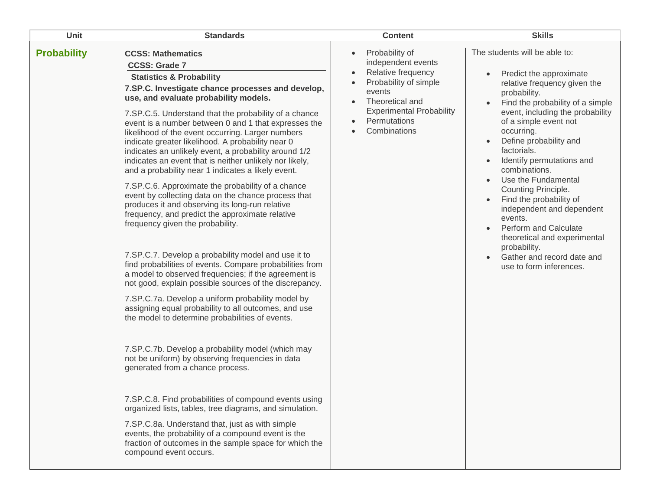| Unit               | <b>Standards</b>                                                                                                                                                                                                                                                                                                                                                                                                                                                                                                                                                                                                                                                                                                                                                                                                                                                                                                                                                                                                                                                                                                                                                                                                                                                                                                                                                                                                                                                                                                                                                                                                                                                                                                    | <b>Content</b>                                                                                                                                                                                   | <b>Skills</b>                                                                                                                                                                                                                                                                                                                                                                                                                                                                                                                                                                               |
|--------------------|---------------------------------------------------------------------------------------------------------------------------------------------------------------------------------------------------------------------------------------------------------------------------------------------------------------------------------------------------------------------------------------------------------------------------------------------------------------------------------------------------------------------------------------------------------------------------------------------------------------------------------------------------------------------------------------------------------------------------------------------------------------------------------------------------------------------------------------------------------------------------------------------------------------------------------------------------------------------------------------------------------------------------------------------------------------------------------------------------------------------------------------------------------------------------------------------------------------------------------------------------------------------------------------------------------------------------------------------------------------------------------------------------------------------------------------------------------------------------------------------------------------------------------------------------------------------------------------------------------------------------------------------------------------------------------------------------------------------|--------------------------------------------------------------------------------------------------------------------------------------------------------------------------------------------------|---------------------------------------------------------------------------------------------------------------------------------------------------------------------------------------------------------------------------------------------------------------------------------------------------------------------------------------------------------------------------------------------------------------------------------------------------------------------------------------------------------------------------------------------------------------------------------------------|
| <b>Probability</b> | <b>CCSS: Mathematics</b><br><b>CCSS: Grade 7</b><br><b>Statistics &amp; Probability</b><br>7.SP.C. Investigate chance processes and develop,<br>use, and evaluate probability models.<br>7.SP.C.5. Understand that the probability of a chance<br>event is a number between 0 and 1 that expresses the<br>likelihood of the event occurring. Larger numbers<br>indicate greater likelihood. A probability near 0<br>indicates an unlikely event, a probability around 1/2<br>indicates an event that is neither unlikely nor likely,<br>and a probability near 1 indicates a likely event.<br>7.SP.C.6. Approximate the probability of a chance<br>event by collecting data on the chance process that<br>produces it and observing its long-run relative<br>frequency, and predict the approximate relative<br>frequency given the probability.<br>7.SP.C.7. Develop a probability model and use it to<br>find probabilities of events. Compare probabilities from<br>a model to observed frequencies; if the agreement is<br>not good, explain possible sources of the discrepancy.<br>7.SP.C.7a. Develop a uniform probability model by<br>assigning equal probability to all outcomes, and use<br>the model to determine probabilities of events.<br>7.SP.C.7b. Develop a probability model (which may<br>not be uniform) by observing frequencies in data<br>generated from a chance process.<br>7.SP.C.8. Find probabilities of compound events using<br>organized lists, tables, tree diagrams, and simulation.<br>7.SP.C.8a. Understand that, just as with simple<br>events, the probability of a compound event is the<br>fraction of outcomes in the sample space for which the<br>compound event occurs. | Probability of<br>$\bullet$<br>independent events<br>Relative frequency<br>Probability of simple<br>events<br>Theoretical and<br><b>Experimental Probability</b><br>Permutations<br>Combinations | The students will be able to:<br>Predict the approximate<br>relative frequency given the<br>probability.<br>Find the probability of a simple<br>$\bullet$<br>event, including the probability<br>of a simple event not<br>occurring.<br>Define probability and<br>factorials.<br>Identify permutations and<br>combinations.<br>Use the Fundamental<br>Counting Principle.<br>Find the probability of<br>independent and dependent<br>events.<br>Perform and Calculate<br>$\bullet$<br>theoretical and experimental<br>probability.<br>Gather and record date and<br>use to form inferences. |